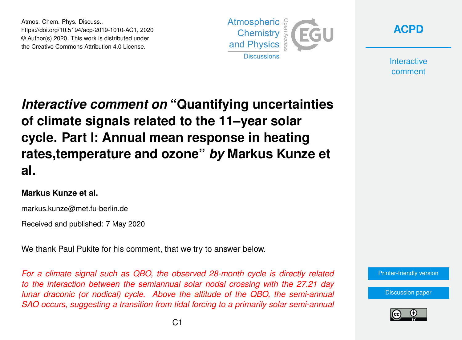Atmos. Chem. Phys. Discuss., https://doi.org/10.5194/acp-2019-1010-AC1, 2020 © Author(s) 2020. This work is distributed under the Creative Commons Attribution 4.0 License.





**Interactive** comment

## *Interactive comment on* **"Quantifying uncertainties of climate signals related to the 11–year solar cycle. Part I: Annual mean response in heating rates,temperature and ozone"** *by* **Markus Kunze et al.**

## **Markus Kunze et al.**

markus.kunze@met.fu-berlin.de

Received and published: 7 May 2020

We thank Paul Pukite for his comment, that we try to answer below.

*For a climate signal such as QBO, the observed 28-month cycle is directly related to the interaction between the semiannual solar nodal crossing with the 27.21 day lunar draconic (or nodical) cycle. Above the altitude of the QBO, the semi-annual SAO occurs, suggesting a transition from tidal forcing to a primarily solar semi-annual*



[Discussion paper](https://www.atmos-chem-phys-discuss.net/acp-2019-1010)